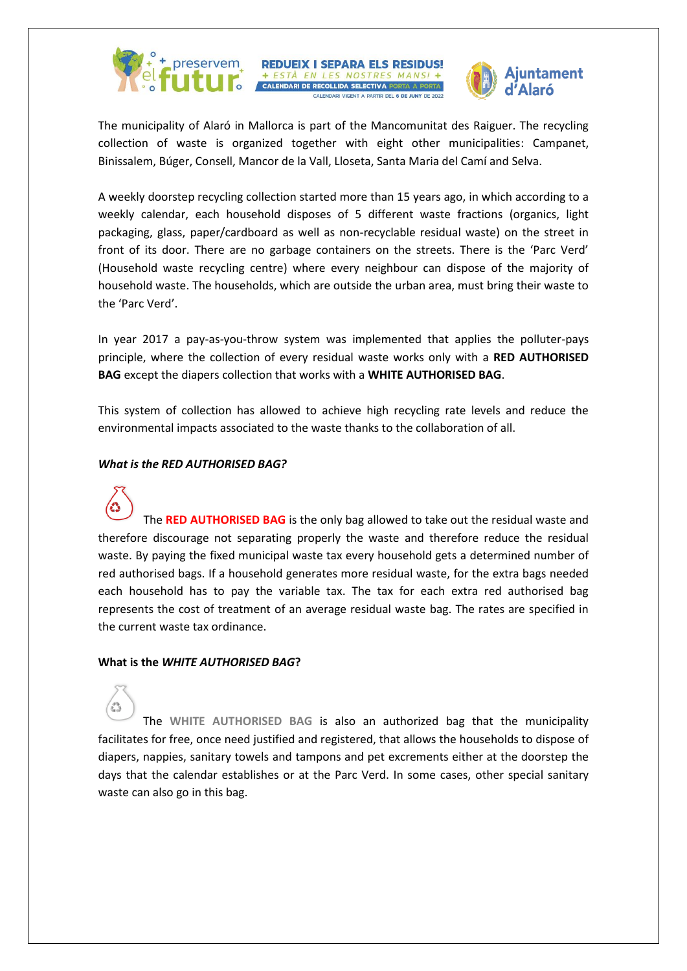

**REDUEIX I SEPARA ELS RESIDUS! Ajuntament** 

The municipality of Alaró in Mallorca is part of the Mancomunitat des Raiguer. The recycling collection of waste is organized together with eight other municipalities: Campanet, Binissalem, Búger, Consell, Mancor de la Vall, Lloseta, Santa Maria del Camí and Selva.

+ ESTÀ EN LES NOSTRES MAN **CALENDARI DE RECOLLIDA SELECTIVA PORTA** 

A weekly doorstep recycling collection started more than 15 years ago, in which according to a weekly calendar, each household disposes of 5 different waste fractions (organics, light packaging, glass, paper/cardboard as well as non-recyclable residual waste) on the street in front of its door. There are no garbage containers on the streets. There is the 'Parc Verd' (Household waste recycling centre) where every neighbour can dispose of the majority of household waste. The households, which are outside the urban area, must bring their waste to the 'Parc Verd'.

In year 2017 a pay-as-you-throw system was implemented that applies the polluter-pays principle, where the collection of every residual waste works only with a **RED AUTHORISED BAG** except the diapers collection that works with a **WHITE AUTHORISED BAG**.

This system of collection has allowed to achieve high recycling rate levels and reduce the environmental impacts associated to the waste thanks to the collaboration of all.

#### *What is the RED AUTHORISED BAG?*



The **RED AUTHORISED BAG** is the only bag allowed to take out the residual waste and therefore discourage not separating properly the waste and therefore reduce the residual waste. By paying the fixed municipal waste tax every household gets a determined number of red authorised bags. If a household generates more residual waste, for the extra bags needed each household has to pay the variable tax. The tax for each extra red authorised bag represents the cost of treatment of an average residual waste bag. The rates are specified in the current waste tax ordinance.

#### **What is the** *WHITE AUTHORISED BAG***?**

The **WHITE AUTHORISED BAG** is also an authorized bag that the municipality facilitates for free, once need justified and registered, that allows the households to dispose of diapers, nappies, sanitary towels and tampons and pet excrements either at the doorstep the days that the calendar establishes or at the Parc Verd. In some cases, other special sanitary waste can also go in this bag.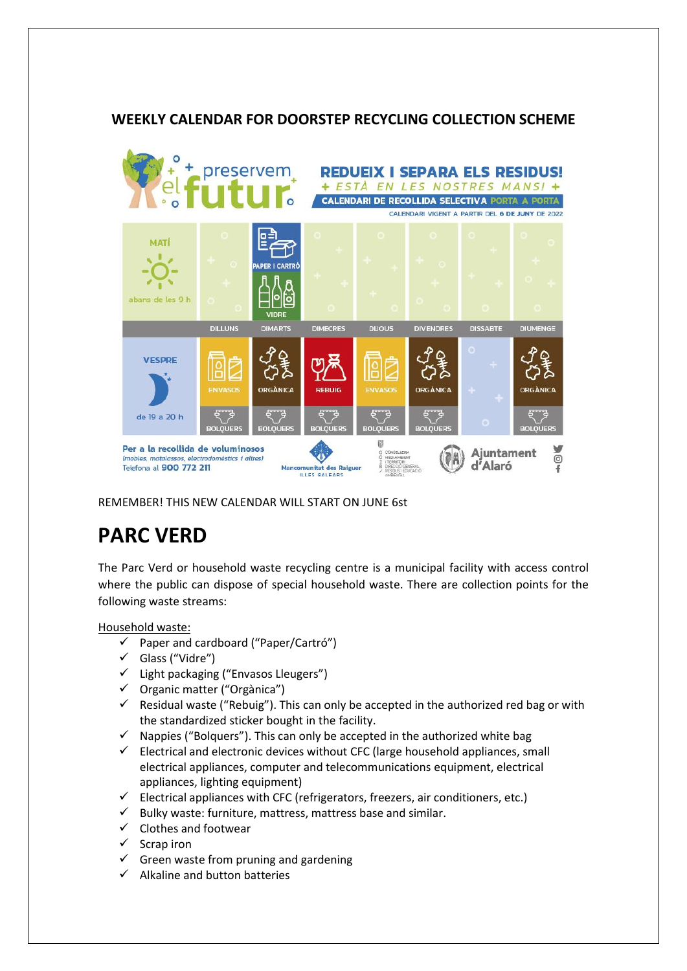# **WEEKLY CALENDAR FOR DOORSTEP RECYCLING COLLECTION SCHEME**



REMEMBER! THIS NEW CALENDAR WILL START ON JUNE 6st

# **PARC VERD**

The Parc Verd or household waste recycling centre is a municipal facility with access control where the public can dispose of special household waste. There are collection points for the following waste streams:

Household waste:

- $\checkmark$  Paper and cardboard ("Paper/Cartró")
- Glass ("Vidre")
- $\checkmark$  Light packaging ("Envasos Lleugers")
- $\checkmark$  Organic matter ("Orgànica")
- $\checkmark$  Residual waste ("Rebuig"). This can only be accepted in the authorized red bag or with the standardized sticker bought in the facility.
- $\checkmark$  Nappies ("Bolquers"). This can only be accepted in the authorized white bag
- $\checkmark$  Electrical and electronic devices without CFC (large household appliances, small electrical appliances, computer and telecommunications equipment, electrical appliances, lighting equipment)
- $\checkmark$  Electrical appliances with CFC (refrigerators, freezers, air conditioners, etc.)
- $\checkmark$  Bulky waste: furniture, mattress, mattress base and similar.
- $\checkmark$  Clothes and footwear
- $\checkmark$  Scrap iron
- $\checkmark$  Green waste from pruning and gardening
- $\checkmark$  Alkaline and button batteries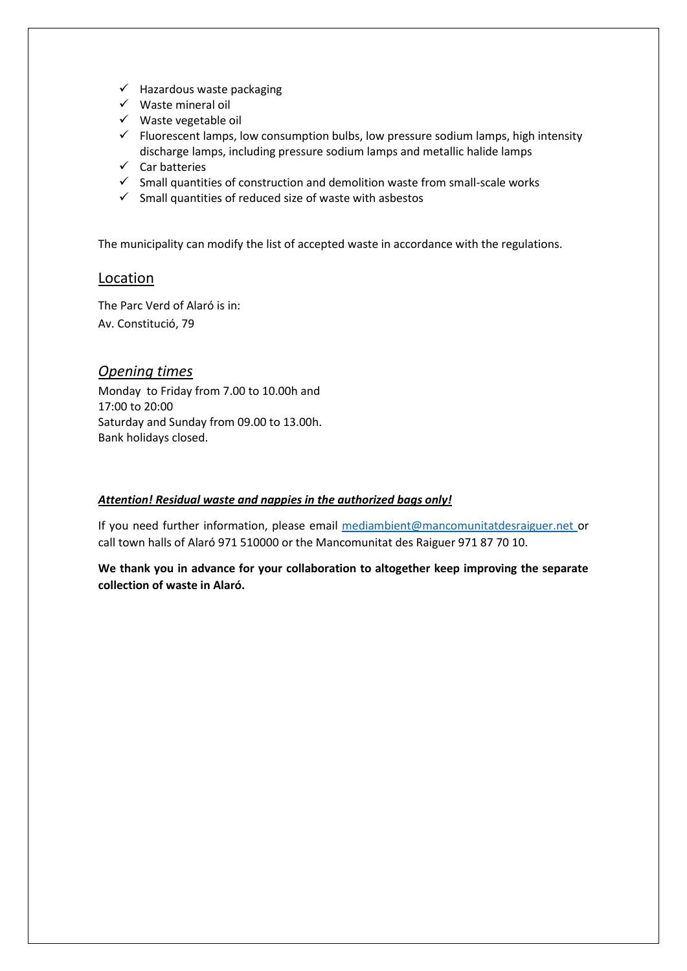- $\checkmark$  Hazardous waste packaging
- $\checkmark$  Waste mineral oil
- $\checkmark$  Waste vegetable oil
- $\checkmark$  Fluorescent lamps, low consumption bulbs, low pressure sodium lamps, high intensity discharge lamps, including pressure sodium lamps and metallic halide lamps
- $\checkmark$  Car batteries
- $\checkmark$  Small quantities of construction and demolition waste from small-scale works
- $\checkmark$  Small quantities of reduced size of waste with asbestos

The municipality can modify the list of accepted waste in accordance with the regulations.

### Location

The Parc Verd of Alaró is in: Av. Constitució, 79

#### *Opening times*

Monday to Friday from 7.00 to 10.00h and 17:00 to 20:00 Saturday and Sunday from 09.00 to 13.00h. Bank holidays closed.

#### *Attention! Residual waste and nappies in the authorized bags only!*

If you need further information, please email [mediambient@mancomunitatdesraiguer.net](mailto:mediambient@mancomunitatdesraiguer.net) or call town halls of Alaró 971 510000 or the Mancomunitat des Raiguer 971 87 70 10.

**We thank you in advance for your collaboration to altogether keep improving the separate collection of waste in Alaró.**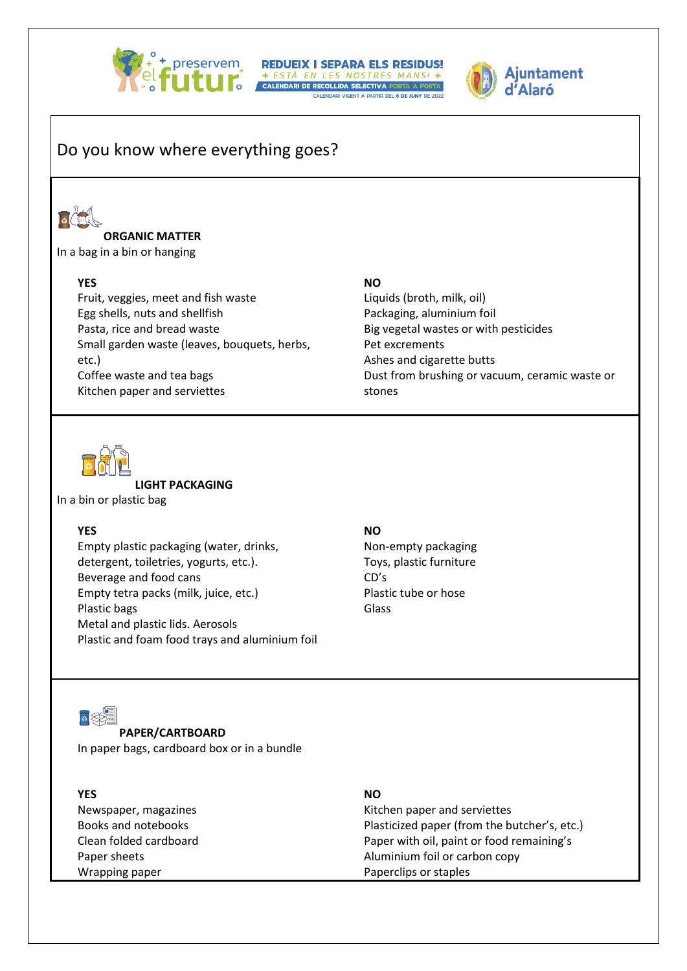

# A + preservem REDUEIX I SEPARA ELS RESIDUS! CALENDARI VIGENT A PARTIR DEL 6 DE JUNY



# Do you know where everything goes?



#### **ORGANIC MATTER**

In a bag in a bin or hanging

#### **YES**

Fruit, veggies, meet and fish waste Egg shells, nuts and shellfish Pasta, rice and bread waste Small garden waste (leaves, bouquets, herbs, etc.) Coffee waste and tea bags Kitchen paper and serviettes

## **NO**

Liquids (broth, milk, oil) Packaging, aluminium foil Big vegetal wastes or with pesticides Pet excrements Ashes and cigarette butts Dust from brushing or vacuum, ceramic waste or stones



**LIGHT PACKAGING** 

In a bin or plastic bag

#### **YES**

Empty plastic packaging (water, drinks, detergent, toiletries, yogurts, etc.). Beverage and food cans Empty tetra packs (milk, juice, etc.) Plastic bags Metal and plastic lids. Aerosols Plastic and foam food trays and aluminium foil

#### **NO**

Non-empty packaging Toys, plastic furniture CD's Plastic tube or hose Glass



**PAPER/CARTBOARD** In paper bags, cardboard box or in a bundle

| <b>YES</b>             | <b>NO</b>                                    |
|------------------------|----------------------------------------------|
| Newspaper, magazines   | Kitchen paper and serviettes                 |
| Books and notebooks    | Plasticized paper (from the butcher's, etc.) |
| Clean folded cardboard | Paper with oil, paint or food remaining's    |
| Paper sheets           | Aluminium foil or carbon copy                |
| Wrapping paper         | Paperclips or staples                        |